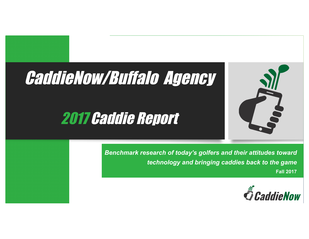## CaddieNow/Buffalo Agency

## 2017 Caddie Report



*Benchmark research of today's golfers and their attitudes toward technology and bringing caddies back to the game* **Fall 2017**

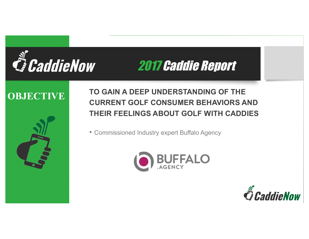

### **OBJECTIVE**



**CURRENT GOLF CONSUMER BEHAVIORS AND TO GAIN A DEEP UNDERSTANDING OF THE THEIR FEELINGS ABOUT GOLF WITH CADDIES**

• Commissioned Industry expert Buffalo Agency



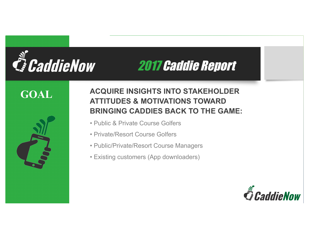# *G* CaddieNow

## 2017 Caddie Report

## **GOAL**



### **2017 Industry Survey Report ATTITUDES & MOTIVATIONS TOWARD ACQUIRE INSIGHTS INTO STAKEHOLDER BRINGING CADDIES BACK TO THE GAME:**

- Public & Private Course Golfers
- Private/Resort Course Golfers
- Public/Private/Resort Course Managers
- Existing customers (App downloaders)

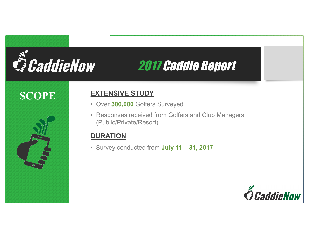# **E** CaddieNow

## 2017 Caddie Report

## **SCOPE**



### **EXTENSIVE STUDY**

- Over **300,000** Golfers Surveyed
- Responses received from Golfers and Club Managers (Public/Private/Resort)

### **DURATION**

• Survey conducted from **July 11 – 31, 2017**

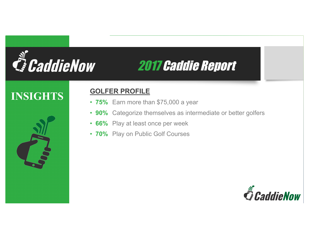

## **INSIGHTS**



### **GOLFER PROFILE**

- **25%** Earn more than \$75,000 a year • **75%** Earn more than \$75,000 a year
- **90%** Categorize themselves as intermediate or better golfers
- **66%** Play at least once per week
- **70%** Play on Public Golf Courses

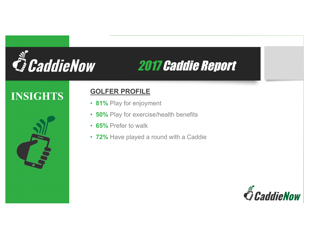

## **INSIGHTS**



### **GOLFER PROFILE**

- **201%** Play for enjoyment
- **50%** Play for exercise/health benefits
- **65%** Prefer to walk
- **72%** Have played a round with a Caddie

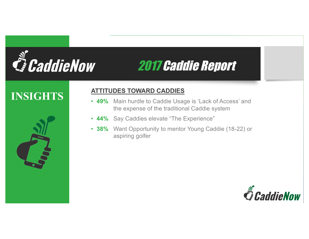

## **INSIGHTS**



### **ATTITUDES TOWARD CADDIES**

- **49%** Main hurdle to Caddie Usage is 'Lack of Access' and the expense of the traditional Caddie system • **49%** Main hurdle to Caddie Usage is 'Lack of Access' and the expense of the traditional Caddie system
- **44%** Say Caddies elevate "The Experience"
- **38%** Want Opportunity to mentor Young Caddie (18-22) or aspiring golfer

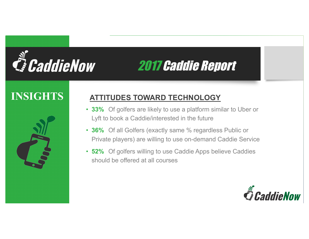# *E. CaddieNow*

## 2017 Caddie Report

### **INSIGHTS ATTITUDES TOWARD TECHNOLOGY**

- **33%** Of golfers are likely to use a platform similar to Uber or Lyft to book a Caddie/interested in the future
- **36%** Of all Golfers (exactly same % regardless Public or Private players) are willing to use on-demand Caddie Service
- **52%** Of golfers willing to use Caddie Apps believe Caddies should be offered at all courses

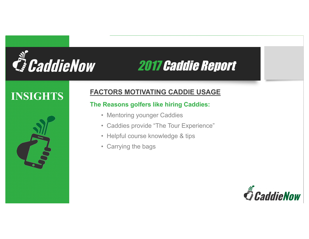

## **INSIGHTS**



### **FACTORS MOTIVATING CADDIE USAGE**

## **2017 Industry Survey Report The Reasons golfers like hiring Caddies:**

- Mentoring younger Caddies
- Caddies provide "The Tour Experience"
- Helpful course knowledge & tips
- Carrying the bags

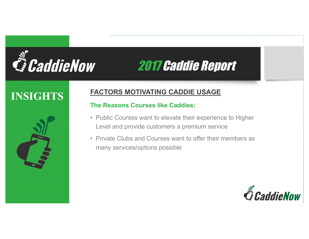

## **INSIGHTS**



### **FACTORS MOTIVATING CADDIE USAGE**

## **2018**<br>The Reasons Courses like Caddies:

- Public Courses want to elevate their experience to Higher Level and provide customers a premium service
- Private Clubs and Courses want to offer their members as many services/options possible

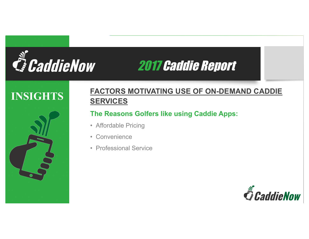

## **INSIGHTS**



### **2017 Industry Survey Report SERVICES FACTORS MOTIVATING USE OF ON-DEMAND CADDIE**

### **The Reasons Golfers like using Caddie Apps:**

- Affordable Pricing
- Convenience
- Professional Service

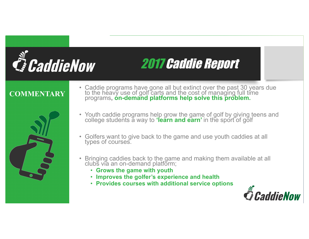

### **COMMENTARY**



- Caddie programs have gone all but extinct over the past 30 years due to the heavy use of golf carts and the cost of managing full time programs**, on-demand platforms help solve this problem.**
- Youth caddie programs help grow the game of golf by giving teens and college students a way to **'learn and earn'** in the sport of golf
- Golfers want to give back to the game and use youth caddies at all types of courses.
- Bringing caddies back to the game and making them available at all clubs via an on-demand platform;
	- **Grows the game with youth**
	- **Improves the golfer's experience and health**
	- **Provides courses with additional service options**